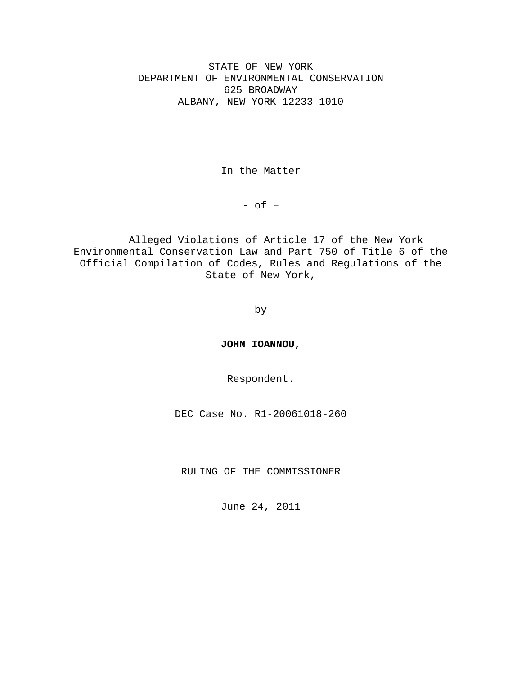STATE OF NEW YORK DEPARTMENT OF ENVIRONMENTAL CONSERVATION 625 BROADWAY ALBANY, NEW YORK 12233-1010

In the Matter

- of –

Alleged Violations of Article 17 of the New York Environmental Conservation Law and Part 750 of Title 6 of the Official Compilation of Codes, Rules and Regulations of the State of New York,

- by -

**JOHN IOANNOU,** 

Respondent.

DEC Case No. R1-20061018-260

RULING OF THE COMMISSIONER

June 24, 2011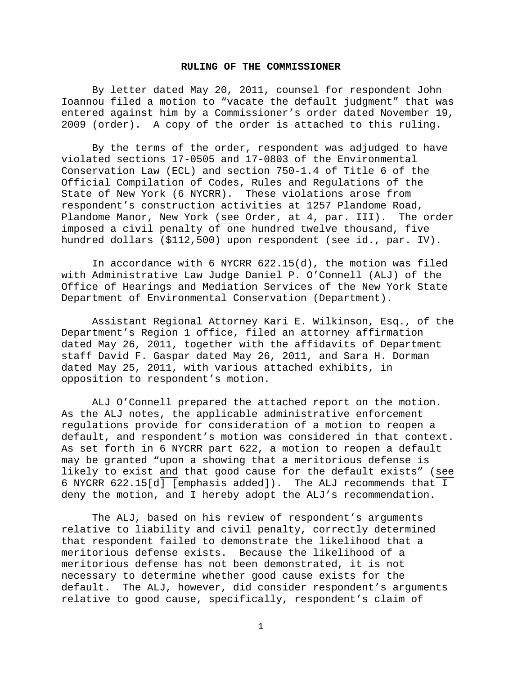#### **RULING OF THE COMMISSIONER**

By letter dated May 20, 2011, counsel for respondent John Ioannou filed a motion to "vacate the default judgment" that was entered against him by a Commissioner's order dated November 19, 2009 (order). A copy of the order is attached to this ruling.

By the terms of the order, respondent was adjudged to have violated sections 17-0505 and 17-0803 of the Environmental Conservation Law (ECL) and section 750-1.4 of Title 6 of the Official Compilation of Codes, Rules and Regulations of the State of New York (6 NYCRR). These violations arose from respondent's construction activities at 1257 Plandome Road, Plandome Manor, New York (see Order, at 4, par. III). The order imposed a civil penalty of one hundred twelve thousand, five hundred dollars (\$112,500) upon respondent (see id., par. IV).

In accordance with 6 NYCRR 622.15(d), the motion was filed with Administrative Law Judge Daniel P. O'Connell (ALJ) of the Office of Hearings and Mediation Services of the New York State Department of Environmental Conservation (Department).

Assistant Regional Attorney Kari E. Wilkinson, Esq., of the Department's Region 1 office, filed an attorney affirmation dated May 26, 2011, together with the affidavits of Department staff David F. Gaspar dated May 26, 2011, and Sara H. Dorman dated May 25, 2011, with various attached exhibits, in opposition to respondent's motion.

ALJ O'Connell prepared the attached report on the motion. As the ALJ notes, the applicable administrative enforcement regulations provide for consideration of a motion to reopen a default, and respondent's motion was considered in that context. As set forth in 6 NYCRR part 622, a motion to reopen a default may be granted "upon a showing that a meritorious defense is likely to exist and that good cause for the default exists" (see 6 NYCRR 622.15[d] [emphasis added]). The ALJ recommends that I deny the motion, and I hereby adopt the ALJ's recommendation.

The ALJ, based on his review of respondent's arguments relative to liability and civil penalty, correctly determined that respondent failed to demonstrate the likelihood that a meritorious defense exists. Because the likelihood of a meritorious defense has not been demonstrated, it is not necessary to determine whether good cause exists for the default. The ALJ, however, did consider respondent's arguments relative to good cause, specifically, respondent's claim of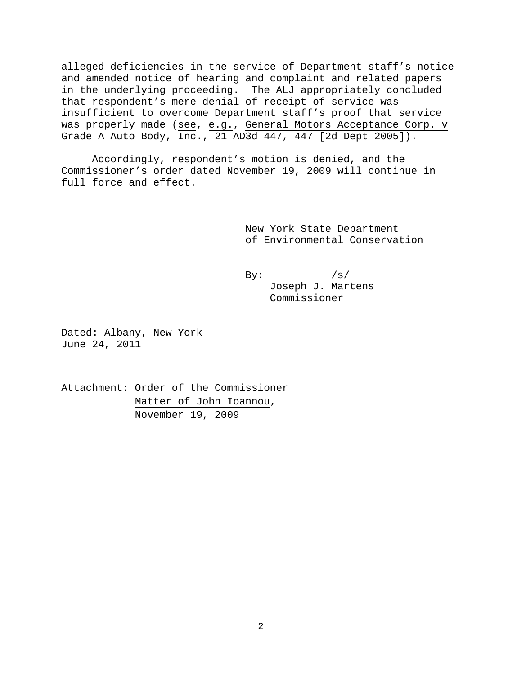alleged deficiencies in the service of Department staff's notice and amended notice of hearing and complaint and related papers in the underlying proceeding. The ALJ appropriately concluded that respondent's mere denial of receipt of service was insufficient to overcome Department staff's proof that service was properly made (see, e.g., General Motors Acceptance Corp. v Grade A Auto Body, Inc., 21 AD3d 447, 447 [2d Dept 2005]).

Accordingly, respondent's motion is denied, and the Commissioner's order dated November 19, 2009 will continue in full force and effect.

> New York State Department of Environmental Conservation

By: \_\_\_\_\_\_\_\_\_\_/s/\_\_\_\_\_\_\_\_\_\_\_\_\_ Joseph J. Martens Commissioner

Dated: Albany, New York June 24, 2011

Attachment: Order of the Commissioner Matter of John Ioannou, November 19, 2009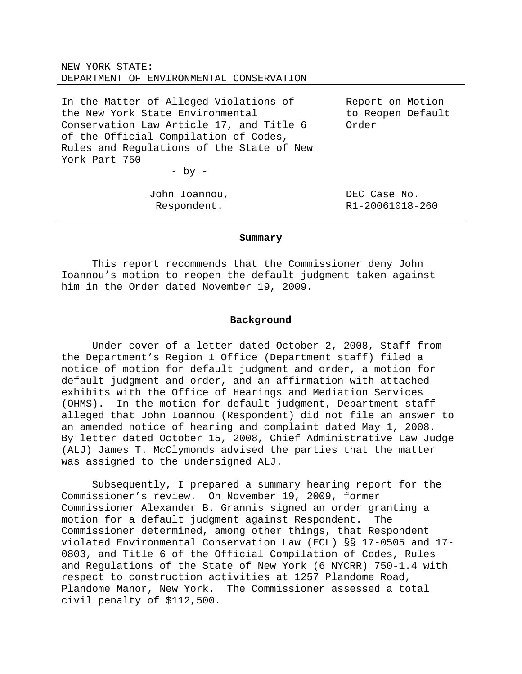NEW YORK STATE: DEPARTMENT OF ENVIRONMENTAL CONSERVATION

In the Matter of Alleged Violations of the New York State Environmental Conservation Law Article 17, and Title 6 of the Official Compilation of Codes, Rules and Regulations of the State of New York Part 750  $-$  by  $-$ Report on Motion Order

> John Ioannou, Respondent.

to Reopen Default

DEC Case No. R1-20061018-260

### **Summary**

 This report recommends that the Commissioner deny John Ioannou's motion to reopen the default judgment taken against him in the Order dated November 19, 2009.

### **Background**

 Under cover of a letter dated October 2, 2008, Staff from the Department's Region 1 Office (Department staff) filed a notice of motion for default judgment and order, a motion for default judgment and order, and an affirmation with attached exhibits with the Office of Hearings and Mediation Services (OHMS). In the motion for default judgment, Department staff alleged that John Ioannou (Respondent) did not file an answer to an amended notice of hearing and complaint dated May 1, 2008. By letter dated October 15, 2008, Chief Administrative Law Judge (ALJ) James T. McClymonds advised the parties that the matter was assigned to the undersigned ALJ.

 Subsequently, I prepared a summary hearing report for the Commissioner's review. On November 19, 2009, former Commissioner Alexander B. Grannis signed an order granting a motion for a default judgment against Respondent. The Commissioner determined, among other things, that Respondent violated Environmental Conservation Law (ECL) §§ 17-0505 and 17- 0803, and Title 6 of the Official Compilation of Codes, Rules and Regulations of the State of New York (6 NYCRR) 750-1.4 with respect to construction activities at 1257 Plandome Road, Plandome Manor, New York. The Commissioner assessed a total civil penalty of \$112,500.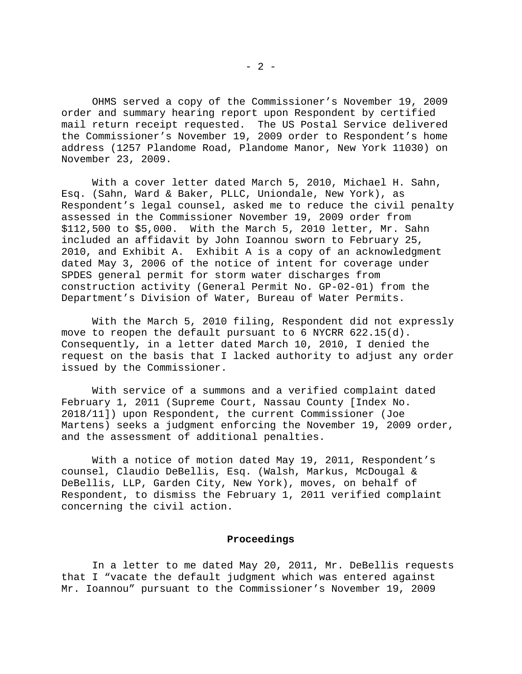OHMS served a copy of the Commissioner's November 19, 2009 order and summary hearing report upon Respondent by certified mail return receipt requested. The US Postal Service delivered the Commissioner's November 19, 2009 order to Respondent's home address (1257 Plandome Road, Plandome Manor, New York 11030) on November 23, 2009.

 With a cover letter dated March 5, 2010, Michael H. Sahn, Esq. (Sahn, Ward & Baker, PLLC, Uniondale, New York), as Respondent's legal counsel, asked me to reduce the civil penalty assessed in the Commissioner November 19, 2009 order from \$112,500 to \$5,000. With the March 5, 2010 letter, Mr. Sahn included an affidavit by John Ioannou sworn to February 25, 2010, and Exhibit A. Exhibit A is a copy of an acknowledgment dated May 3, 2006 of the notice of intent for coverage under SPDES general permit for storm water discharges from construction activity (General Permit No. GP-02-01) from the Department's Division of Water, Bureau of Water Permits.

 With the March 5, 2010 filing, Respondent did not expressly move to reopen the default pursuant to 6 NYCRR 622.15(d). Consequently, in a letter dated March 10, 2010, I denied the request on the basis that I lacked authority to adjust any order issued by the Commissioner.

 With service of a summons and a verified complaint dated February 1, 2011 (Supreme Court, Nassau County [Index No. 2018/11]) upon Respondent, the current Commissioner (Joe Martens) seeks a judgment enforcing the November 19, 2009 order, and the assessment of additional penalties.

 With a notice of motion dated May 19, 2011, Respondent's counsel, Claudio DeBellis, Esq. (Walsh, Markus, McDougal & DeBellis, LLP, Garden City, New York), moves, on behalf of Respondent, to dismiss the February 1, 2011 verified complaint concerning the civil action.

### **Proceedings**

 In a letter to me dated May 20, 2011, Mr. DeBellis requests that I "vacate the default judgment which was entered against Mr. Ioannou" pursuant to the Commissioner's November 19, 2009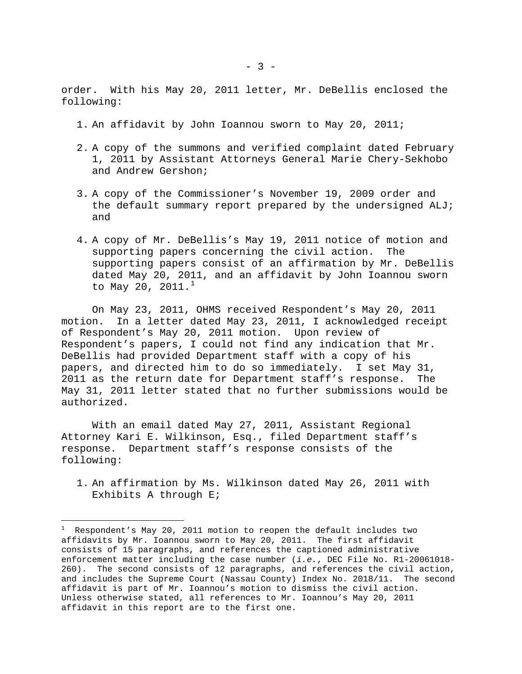order. With his May 20, 2011 letter, Mr. DeBellis enclosed the following:

- 1. An affidavit by John Ioannou sworn to May 20, 2011;
- 2. A copy of the summons and verified complaint dated February 1, 2011 by Assistant Attorneys General Marie Chery-Sekhobo and Andrew Gershon;
- 3. A copy of the Commissioner's November 19, 2009 order and the default summary report prepared by the undersigned ALJ; and
- 4. A copy of Mr. DeBellis's May 19, 2011 notice of motion and supporting papers concerning the civil action. The supporting papers consist of an affirmation by Mr. DeBellis dated May 20, 2011, and an affidavit by John Ioannou sworn to May 20, 20[1](#page-5-0)1. $^1$

 On May 23, 2011, OHMS received Respondent's May 20, 2011 motion. In a letter dated May 23, 2011, I acknowledged receipt of Respondent's May 20, 2011 motion. Upon review of Respondent's papers, I could not find any indication that Mr. DeBellis had provided Department staff with a copy of his papers, and directed him to do so immediately. I set May 31, 2011 as the return date for Department staff's response. The May 31, 2011 letter stated that no further submissions would be authorized.

 With an email dated May 27, 2011, Assistant Regional Attorney Kari E. Wilkinson, Esq., filed Department staff's response. Department staff's response consists of the following:

i

1. An affirmation by Ms. Wilkinson dated May 26, 2011 with Exhibits A through E;

<span id="page-5-0"></span> $^1$  Respondent's May 20, 2011 motion to reopen the default includes two affidavits by Mr. Ioannou sworn to May 20, 2011. The first affidavit consists of 15 paragraphs, and references the captioned administrative enforcement matter including the case number (*i.e.*, DEC File No. R1-20061018- 260). The second consists of 12 paragraphs, and references the civil action, and includes the Supreme Court (Nassau County) Index No. 2018/11. The second affidavit is part of Mr. Ioannou's motion to dismiss the civil action. Unless otherwise stated, all references to Mr. Ioannou's May 20, 2011 affidavit in this report are to the first one.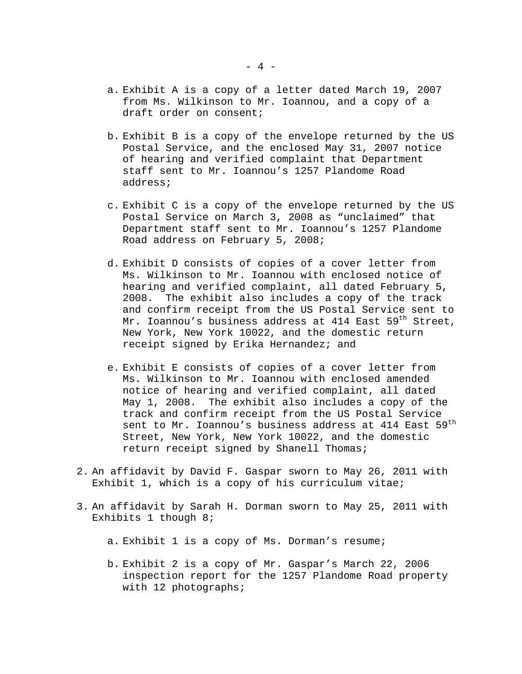- a. Exhibit A is a copy of a letter dated March 19, 2007 from Ms. Wilkinson to Mr. Ioannou, and a copy of a draft order on consent;
- b. Exhibit B is a copy of the envelope returned by the US Postal Service, and the enclosed May 31, 2007 notice of hearing and verified complaint that Department staff sent to Mr. Ioannou's 1257 Plandome Road address;
- c. Exhibit C is a copy of the envelope returned by the US Postal Service on March 3, 2008 as "unclaimed" that Department staff sent to Mr. Ioannou's 1257 Plandome Road address on February 5, 2008;
- d. Exhibit D consists of copies of a cover letter from Ms. Wilkinson to Mr. Ioannou with enclosed notice of hearing and verified complaint, all dated February 5, 2008. The exhibit also includes a copy of the track and confirm receipt from the US Postal Service sent to Mr. Ioannou's business address at 414 East 59<sup>th</sup> Street, New York, New York 10022, and the domestic return receipt signed by Erika Hernandez; and
- e. Exhibit E consists of copies of a cover letter from Ms. Wilkinson to Mr. Ioannou with enclosed amended notice of hearing and verified complaint, all dated May 1, 2008. The exhibit also includes a copy of the track and confirm receipt from the US Postal Service sent to Mr. Ioannou's business address at 414 East 59<sup>th</sup> Street, New York, New York 10022, and the domestic return receipt signed by Shanell Thomas;
- 2. An affidavit by David F. Gaspar sworn to May 26, 2011 with Exhibit 1, which is a copy of his curriculum vitae;
- 3. An affidavit by Sarah H. Dorman sworn to May 25, 2011 with Exhibits 1 though 8;
	- a. Exhibit 1 is a copy of Ms. Dorman's resume;
	- b. Exhibit 2 is a copy of Mr. Gaspar's March 22, 2006 inspection report for the 1257 Plandome Road property with 12 photographs;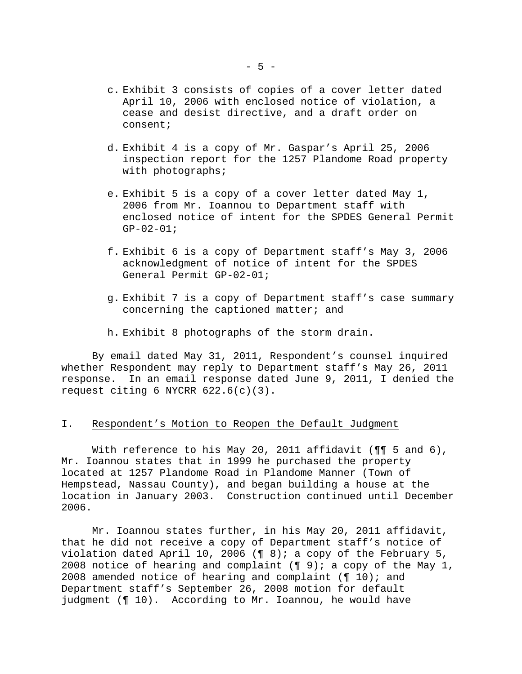- c. Exhibit 3 consists of copies of a cover letter dated April 10, 2006 with enclosed notice of violation, a cease and desist directive, and a draft order on consent;
- d. Exhibit 4 is a copy of Mr. Gaspar's April 25, 2006 inspection report for the 1257 Plandome Road property with photographs;
- e. Exhibit 5 is a copy of a cover letter dated May 1, 2006 from Mr. Ioannou to Department staff with enclosed notice of intent for the SPDES General Permit  $GP-02-01;$
- f. Exhibit 6 is a copy of Department staff's May 3, 2006 acknowledgment of notice of intent for the SPDES General Permit GP-02-01;
- g. Exhibit 7 is a copy of Department staff's case summary concerning the captioned matter; and
- h. Exhibit 8 photographs of the storm drain.

 By email dated May 31, 2011, Respondent's counsel inquired whether Respondent may reply to Department staff's May 26, 2011 response. In an email response dated June 9, 2011, I denied the request citing 6 NYCRR 622.6(c)(3).

### I. Respondent's Motion to Reopen the Default Judgment

With reference to his May 20, 2011 affidavit (¶¶ 5 and 6), Mr. Ioannou states that in 1999 he purchased the property located at 1257 Plandome Road in Plandome Manner (Town of Hempstead, Nassau County), and began building a house at the location in January 2003. Construction continued until December 2006.

 Mr. Ioannou states further, in his May 20, 2011 affidavit, that he did not receive a copy of Department staff's notice of violation dated April 10, 2006 ( $\sqrt{9}$  8); a copy of the February 5, 2008 notice of hearing and complaint  $(\P 9)$ ; a copy of the May 1, 2008 amended notice of hearing and complaint ( $\P$  10); and Department staff's September 26, 2008 motion for default judgment (¶ 10). According to Mr. Ioannou, he would have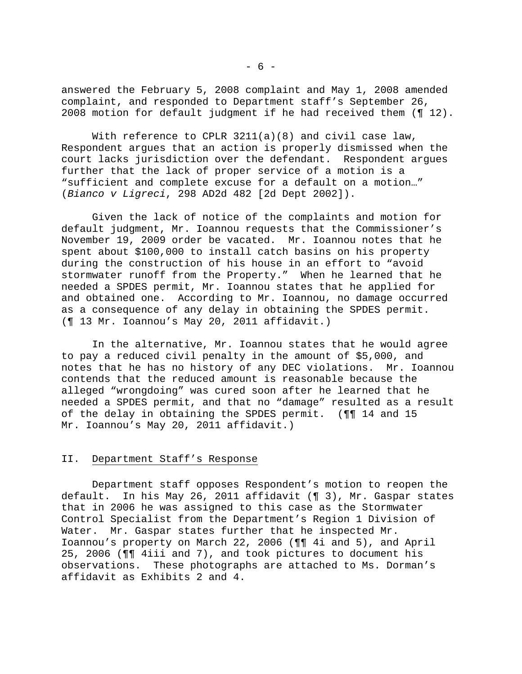answered the February 5, 2008 complaint and May 1, 2008 amended complaint, and responded to Department staff's September 26, 2008 motion for default judgment if he had received them (¶ 12).

With reference to CPLR  $3211(a)(8)$  and civil case law, Respondent argues that an action is properly dismissed when the court lacks jurisdiction over the defendant. Respondent argues further that the lack of proper service of a motion is a "sufficient and complete excuse for a default on a motion…" (*Bianco v Ligreci*, 298 AD2d 482 [2d Dept 2002]).

 Given the lack of notice of the complaints and motion for default judgment, Mr. Ioannou requests that the Commissioner's November 19, 2009 order be vacated. Mr. Ioannou notes that he spent about \$100,000 to install catch basins on his property during the construction of his house in an effort to "avoid stormwater runoff from the Property." When he learned that he needed a SPDES permit, Mr. Ioannou states that he applied for and obtained one. According to Mr. Ioannou, no damage occurred as a consequence of any delay in obtaining the SPDES permit. (¶ 13 Mr. Ioannou's May 20, 2011 affidavit.)

 In the alternative, Mr. Ioannou states that he would agree to pay a reduced civil penalty in the amount of \$5,000, and notes that he has no history of any DEC violations. Mr. Ioannou contends that the reduced amount is reasonable because the alleged "wrongdoing" was cured soon after he learned that he needed a SPDES permit, and that no "damage" resulted as a result of the delay in obtaining the SPDES permit. (¶¶ 14 and 15 Mr. Ioannou's May 20, 2011 affidavit.)

# II. Department Staff's Response

 Department staff opposes Respondent's motion to reopen the default. In his May 26, 2011 affidavit (¶ 3), Mr. Gaspar states that in 2006 he was assigned to this case as the Stormwater Control Specialist from the Department's Region 1 Division of Water. Mr. Gaspar states further that he inspected Mr. Ioannou's property on March 22, 2006 (¶¶ 4i and 5), and April 25, 2006 (¶¶ 4iii and 7), and took pictures to document his observations. These photographs are attached to Ms. Dorman's affidavit as Exhibits 2 and 4.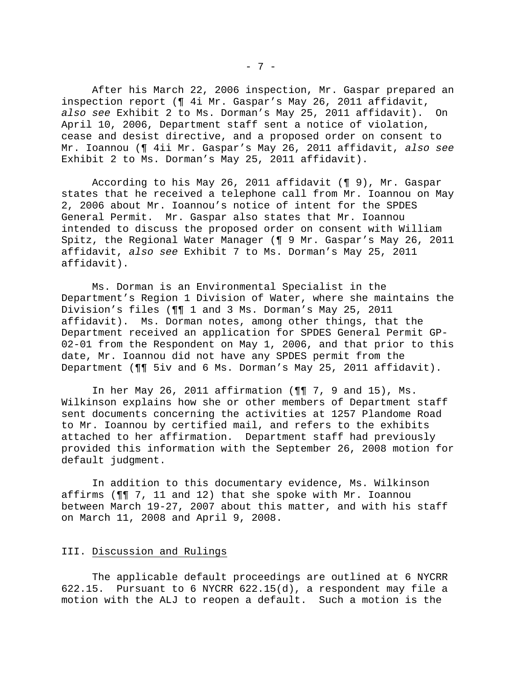After his March 22, 2006 inspection, Mr. Gaspar prepared an inspection report (¶ 4i Mr. Gaspar's May 26, 2011 affidavit, *also see* Exhibit 2 to Ms. Dorman's May 25, 2011 affidavit). On April 10, 2006, Department staff sent a notice of violation, cease and desist directive, and a proposed order on consent to Mr. Ioannou (¶ 4ii Mr. Gaspar's May 26, 2011 affidavit, *also see* Exhibit 2 to Ms. Dorman's May 25, 2011 affidavit).

 According to his May 26, 2011 affidavit (¶ 9), Mr. Gaspar states that he received a telephone call from Mr. Ioannou on May 2, 2006 about Mr. Ioannou's notice of intent for the SPDES General Permit. Mr. Gaspar also states that Mr. Ioannou intended to discuss the proposed order on consent with William Spitz, the Regional Water Manager (¶ 9 Mr. Gaspar's May 26, 2011 affidavit, *also see* Exhibit 7 to Ms. Dorman's May 25, 2011 affidavit).

 Ms. Dorman is an Environmental Specialist in the Department's Region 1 Division of Water, where she maintains the Division's files (¶¶ 1 and 3 Ms. Dorman's May 25, 2011 affidavit). Ms. Dorman notes, among other things, that the Department received an application for SPDES General Permit GP-02-01 from the Respondent on May 1, 2006, and that prior to this date, Mr. Ioannou did not have any SPDES permit from the Department (¶¶ 5iv and 6 Ms. Dorman's May 25, 2011 affidavit).

 In her May 26, 2011 affirmation (¶¶ 7, 9 and 15), Ms. Wilkinson explains how she or other members of Department staff sent documents concerning the activities at 1257 Plandome Road to Mr. Ioannou by certified mail, and refers to the exhibits attached to her affirmation. Department staff had previously provided this information with the September 26, 2008 motion for default judgment.

 In addition to this documentary evidence, Ms. Wilkinson affirms (¶¶ 7, 11 and 12) that she spoke with Mr. Ioannou between March 19-27, 2007 about this matter, and with his staff on March 11, 2008 and April 9, 2008.

## III. Discussion and Rulings

 The applicable default proceedings are outlined at 6 NYCRR 622.15. Pursuant to 6 NYCRR 622.15(d), a respondent may file a motion with the ALJ to reopen a default. Such a motion is the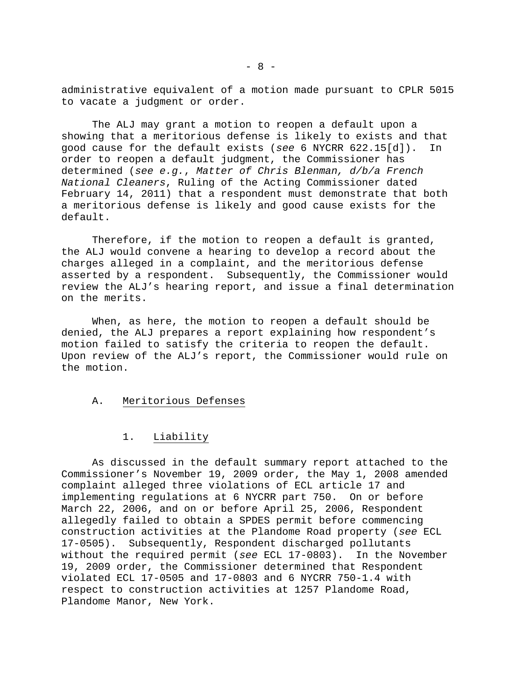administrative equivalent of a motion made pursuant to CPLR 5015 to vacate a judgment or order.

 The ALJ may grant a motion to reopen a default upon a showing that a meritorious defense is likely to exists and that good cause for the default exists (*see* 6 NYCRR 622.15[d]). In order to reopen a default judgment, the Commissioner has determined (*see e.g.*, *Matter of Chris Blenman, d/b/a French National Cleaners*, Ruling of the Acting Commissioner dated February 14, 2011) that a respondent must demonstrate that both a meritorious defense is likely and good cause exists for the default.

 Therefore, if the motion to reopen a default is granted, the ALJ would convene a hearing to develop a record about the charges alleged in a complaint, and the meritorious defense asserted by a respondent. Subsequently, the Commissioner would review the ALJ's hearing report, and issue a final determination on the merits.

 When, as here, the motion to reopen a default should be denied, the ALJ prepares a report explaining how respondent's motion failed to satisfy the criteria to reopen the default. Upon review of the ALJ's report, the Commissioner would rule on the motion.

## A. Meritorious Defenses

# 1. Liability

 As discussed in the default summary report attached to the Commissioner's November 19, 2009 order, the May 1, 2008 amended complaint alleged three violations of ECL article 17 and implementing regulations at 6 NYCRR part 750. On or before March 22, 2006, and on or before April 25, 2006, Respondent allegedly failed to obtain a SPDES permit before commencing construction activities at the Plandome Road property (*see* ECL 17-0505). Subsequently, Respondent discharged pollutants without the required permit (*see* ECL 17-0803). In the November 19, 2009 order, the Commissioner determined that Respondent violated ECL 17-0505 and 17-0803 and 6 NYCRR 750-1.4 with respect to construction activities at 1257 Plandome Road, Plandome Manor, New York.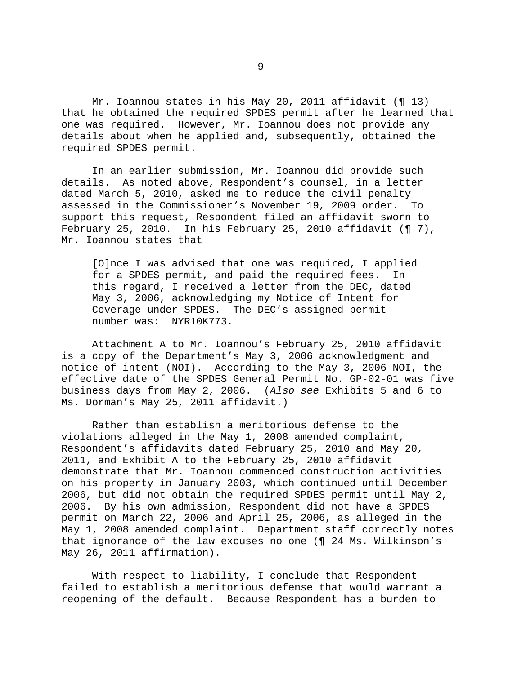Mr. Ioannou states in his May 20, 2011 affidavit (¶ 13) that he obtained the required SPDES permit after he learned that one was required. However, Mr. Ioannou does not provide any details about when he applied and, subsequently, obtained the required SPDES permit.

 In an earlier submission, Mr. Ioannou did provide such details. As noted above, Respondent's counsel, in a letter dated March 5, 2010, asked me to reduce the civil penalty assessed in the Commissioner's November 19, 2009 order. To support this request, Respondent filed an affidavit sworn to February 25, 2010. In his February 25, 2010 affidavit  $(97)$ , Mr. Ioannou states that

[O]nce I was advised that one was required, I applied for a SPDES permit, and paid the required fees. In this regard, I received a letter from the DEC, dated May 3, 2006, acknowledging my Notice of Intent for Coverage under SPDES. The DEC's assigned permit number was: NYR10K773.

 Attachment A to Mr. Ioannou's February 25, 2010 affidavit is a copy of the Department's May 3, 2006 acknowledgment and notice of intent (NOI). According to the May 3, 2006 NOI, the effective date of the SPDES General Permit No. GP-02-01 was five business days from May 2, 2006. (*Also see* Exhibits 5 and 6 to Ms. Dorman's May 25, 2011 affidavit.)

 Rather than establish a meritorious defense to the violations alleged in the May 1, 2008 amended complaint, Respondent's affidavits dated February 25, 2010 and May 20, 2011, and Exhibit A to the February 25, 2010 affidavit demonstrate that Mr. Ioannou commenced construction activities on his property in January 2003, which continued until December 2006, but did not obtain the required SPDES permit until May 2, 2006. By his own admission, Respondent did not have a SPDES permit on March 22, 2006 and April 25, 2006, as alleged in the May 1, 2008 amended complaint. Department staff correctly notes that ignorance of the law excuses no one (¶ 24 Ms. Wilkinson's May 26, 2011 affirmation).

 With respect to liability, I conclude that Respondent failed to establish a meritorious defense that would warrant a reopening of the default. Because Respondent has a burden to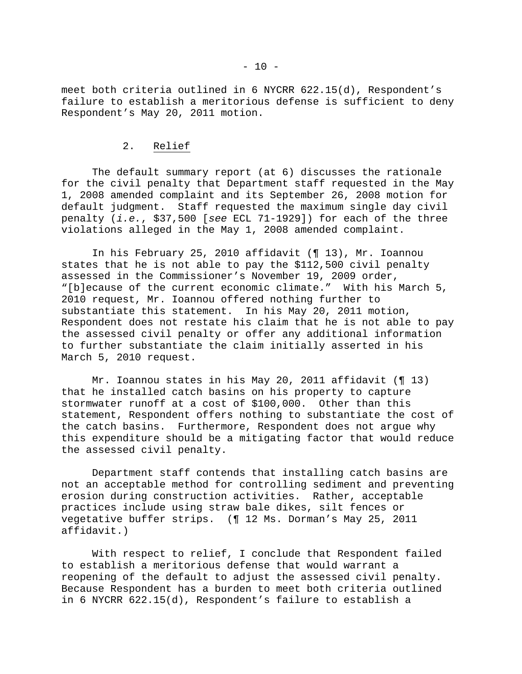meet both criteria outlined in 6 NYCRR 622.15(d), Respondent's failure to establish a meritorious defense is sufficient to deny Respondent's May 20, 2011 motion.

# 2. Relief

 The default summary report (at 6) discusses the rationale for the civil penalty that Department staff requested in the May 1, 2008 amended complaint and its September 26, 2008 motion for default judgment. Staff requested the maximum single day civil penalty (*i.e.*, \$37,500 [*see* ECL 71-1929]) for each of the three violations alleged in the May 1, 2008 amended complaint.

 In his February 25, 2010 affidavit (¶ 13), Mr. Ioannou states that he is not able to pay the \$112,500 civil penalty assessed in the Commissioner's November 19, 2009 order, "[b]ecause of the current economic climate." With his March 5, 2010 request, Mr. Ioannou offered nothing further to substantiate this statement. In his May 20, 2011 motion, Respondent does not restate his claim that he is not able to pay the assessed civil penalty or offer any additional information to further substantiate the claim initially asserted in his March 5, 2010 request.

Mr. Ioannou states in his May 20, 2011 affidavit (¶ 13) that he installed catch basins on his property to capture stormwater runoff at a cost of \$100,000. Other than this statement, Respondent offers nothing to substantiate the cost of the catch basins. Furthermore, Respondent does not argue why this expenditure should be a mitigating factor that would reduce the assessed civil penalty.

 Department staff contends that installing catch basins are not an acceptable method for controlling sediment and preventing erosion during construction activities. Rather, acceptable practices include using straw bale dikes, silt fences or vegetative buffer strips. (¶ 12 Ms. Dorman's May 25, 2011 affidavit.)

 With respect to relief, I conclude that Respondent failed to establish a meritorious defense that would warrant a reopening of the default to adjust the assessed civil penalty. Because Respondent has a burden to meet both criteria outlined in 6 NYCRR 622.15(d), Respondent's failure to establish a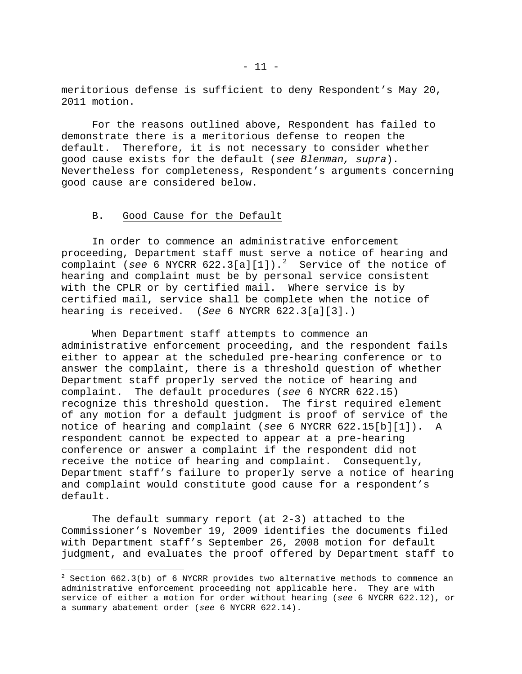meritorious defense is sufficient to deny Respondent's May 20, 2011 motion.

 For the reasons outlined above, Respondent has failed to demonstrate there is a meritorious defense to reopen the default. Therefore, it is not necessary to consider whether good cause exists for the default (*see Blenman, supra*). Nevertheless for completeness, Respondent's arguments concerning good cause are considered below.

## B. Good Cause for the Default

 $\overline{\phantom{0}}$ 

 In order to commence an administrative enforcement proceeding, Department staff must serve a notice of hearing and complaint (*see* 6 NYCRR 6[2](#page-13-0)2.3[a][1]).<sup>2</sup> Service of the notice of hearing and complaint must be by personal service consistent with the CPLR or by certified mail. Where service is by certified mail, service shall be complete when the notice of hearing is received. (*See* 6 NYCRR 622.3[a][3].)

 When Department staff attempts to commence an administrative enforcement proceeding, and the respondent fails either to appear at the scheduled pre-hearing conference or to answer the complaint, there is a threshold question of whether Department staff properly served the notice of hearing and complaint. The default procedures (*see* 6 NYCRR 622.15) recognize this threshold question. The first required element of any motion for a default judgment is proof of service of the notice of hearing and complaint (*see* 6 NYCRR 622.15[b][1]). A respondent cannot be expected to appear at a pre-hearing conference or answer a complaint if the respondent did not receive the notice of hearing and complaint. Consequently, Department staff's failure to properly serve a notice of hearing and complaint would constitute good cause for a respondent's default.

 The default summary report (at 2-3) attached to the Commissioner's November 19, 2009 identifies the documents filed with Department staff's September 26, 2008 motion for default judgment, and evaluates the proof offered by Department staff to

<span id="page-13-0"></span> $2$  Section 662.3(b) of 6 NYCRR provides two alternative methods to commence an administrative enforcement proceeding not applicable here. They are with service of either a motion for order without hearing (*see* 6 NYCRR 622.12), or a summary abatement order (*see* 6 NYCRR 622.14).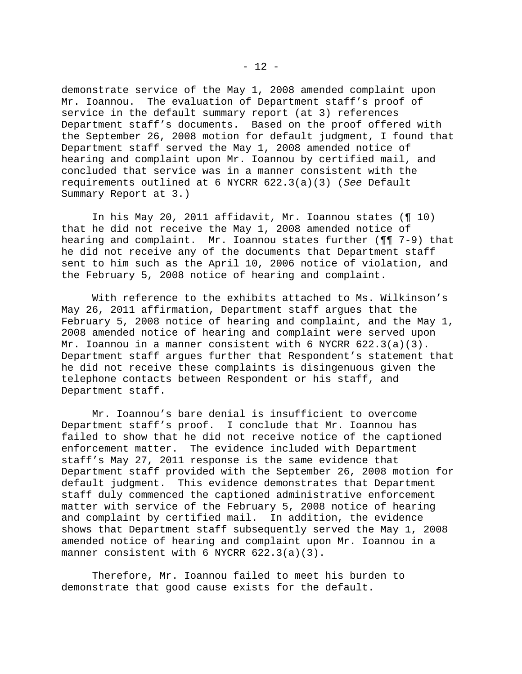demonstrate service of the May 1, 2008 amended complaint upon Mr. Ioannou. The evaluation of Department staff's proof of service in the default summary report (at 3) references Department staff's documents. Based on the proof offered with the September 26, 2008 motion for default judgment, I found that Department staff served the May 1, 2008 amended notice of hearing and complaint upon Mr. Ioannou by certified mail, and concluded that service was in a manner consistent with the requirements outlined at 6 NYCRR 622.3(a)(3) (*See* Default Summary Report at 3.)

 In his May 20, 2011 affidavit, Mr. Ioannou states (¶ 10) that he did not receive the May 1, 2008 amended notice of hearing and complaint. Mr. Ioannou states further (¶¶ 7-9) that he did not receive any of the documents that Department staff sent to him such as the April 10, 2006 notice of violation, and the February 5, 2008 notice of hearing and complaint.

 With reference to the exhibits attached to Ms. Wilkinson's May 26, 2011 affirmation, Department staff argues that the February 5, 2008 notice of hearing and complaint, and the May 1, 2008 amended notice of hearing and complaint were served upon Mr. Ioannou in a manner consistent with 6 NYCRR 622.3(a)(3). Department staff argues further that Respondent's statement that he did not receive these complaints is disingenuous given the telephone contacts between Respondent or his staff, and Department staff.

 Mr. Ioannou's bare denial is insufficient to overcome Department staff's proof. I conclude that Mr. Ioannou has failed to show that he did not receive notice of the captioned enforcement matter. The evidence included with Department staff's May 27, 2011 response is the same evidence that Department staff provided with the September 26, 2008 motion for default judgment. This evidence demonstrates that Department staff duly commenced the captioned administrative enforcement matter with service of the February 5, 2008 notice of hearing and complaint by certified mail. In addition, the evidence shows that Department staff subsequently served the May 1, 2008 amended notice of hearing and complaint upon Mr. Ioannou in a manner consistent with 6 NYCRR 622.3(a)(3).

 Therefore, Mr. Ioannou failed to meet his burden to demonstrate that good cause exists for the default.